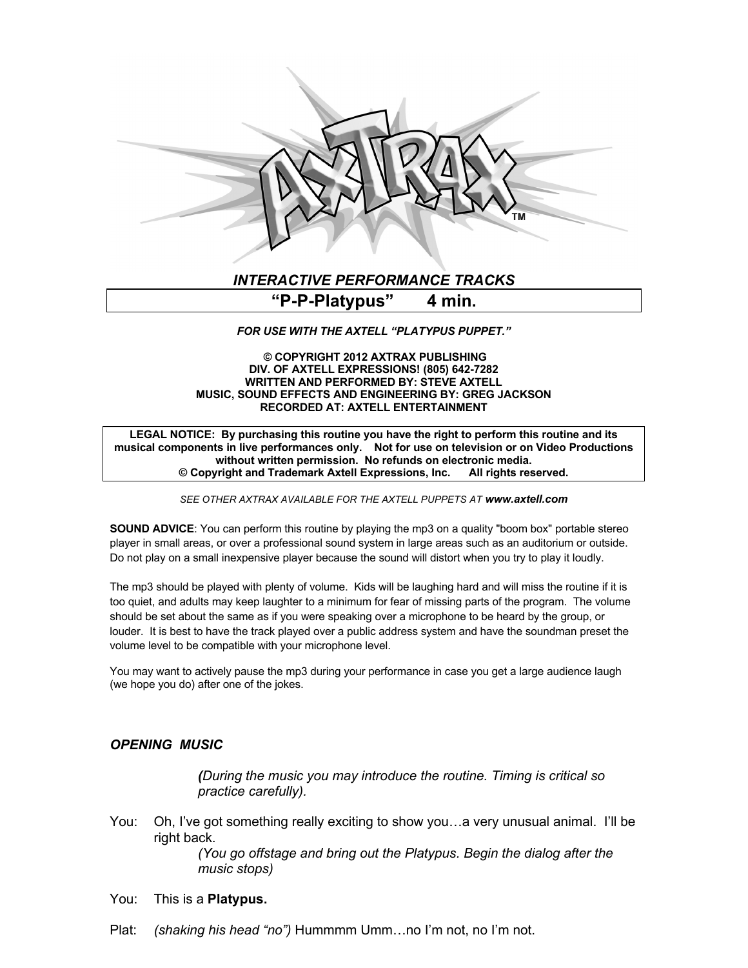

## *INTERACTIVE PERFORMANCE TRACKS*

# **"P-P-Platypus" 4 min.**

#### *FOR USE WITH THE AXTELL "PLATYPUS PUPPET."*

#### **© COPYRIGHT 2012 AXTRAX PUBLISHING DIV. OF AXTELL EXPRESSIONS! (805) 642-7282 WRITTEN AND PERFORMED BY: STEVE AXTELL MUSIC, SOUND EFFECTS AND ENGINEERING BY: GREG JACKSON RECORDED AT: AXTELL ENTERTAINMENT**

**LEGAL NOTICE: By purchasing this routine you have the right to perform this routine and its musical components in live performances only. Not for use on television or on Video Productions without written permission. No refunds on electronic media. © Copyright and Trademark Axtell Expressions, Inc. All rights reserved.**

*SEE OTHER AXTRAX AVAILABLE FOR THE AXTELL PUPPETS AT www.axtell.com*

**SOUND ADVICE:** You can perform this routine by playing the mp3 on a quality "boom box" portable stereo player in small areas, or over a professional sound system in large areas such as an auditorium or outside. Do not play on a small inexpensive player because the sound will distort when you try to play it loudly.

The mp3 should be played with plenty of volume. Kids will be laughing hard and will miss the routine if it is too quiet, and adults may keep laughter to a minimum for fear of missing parts of the program. The volume should be set about the same as if you were speaking over a microphone to be heard by the group, or louder. It is best to have the track played over a public address system and have the soundman preset the volume level to be compatible with your microphone level.

You may want to actively pause the mp3 during your performance in case you get a large audience laugh (we hope you do) after one of the jokes.

## *OPENING MUSIC*

*(During the music you may introduce the routine. Timing is critical so practice carefully).*

You: Oh, I've got something really exciting to show you…a very unusual animal. I'll be right back.

> *(You go offstage and bring out the Platypus. Begin the dialog after the music stops)*

- You: This is a **Platypus.**
- Plat: *(shaking his head "no")* Hummmm Umm…no I'm not, no I'm not.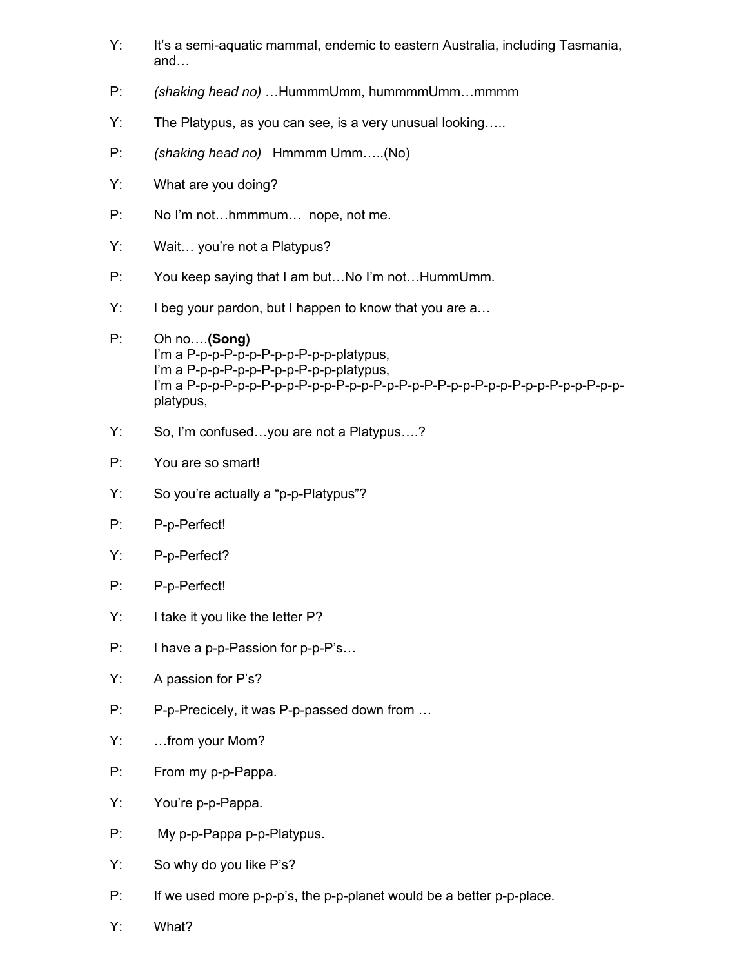- Y: It's a semi-aquatic mammal, endemic to eastern Australia, including Tasmania, and…
- P: *(shaking head no)* …HummmUmm, hummmmUmm…mmmm
- Y: The Platypus, as you can see, is a very unusual looking…..
- P: *(shaking head no)* Hmmmm Umm…..(No)
- Y: What are you doing?
- P: No I'm not...hmmmum... nope, not me.
- Y: Wait… you're not a Platypus?
- P: You keep saying that I am but…No I'm not…HummUmm.
- Y: I beg your pardon, but I happen to know that you are a…
- P: Oh no….**(Song)** I'm a P-p-p-P-p-p-P-p-p-P-p-p-platypus, I'm a P-p-p-P-p-p-P-p-p-P-p-p-platypus, I'm a P-p-p-P-p-p-P-p-p-P-p-p-P-p-p-P-p-P-p-P-P-p-p-P-p-p-P-p-p-P-p-p-P-p-pplatypus,
- Y: So, I'm confused…you are not a Platypus….?
- P: You are so smart!
- Y: So you're actually a "p-p-Platypus"?
- P: P-p-Perfect!
- Y: P-p-Perfect?
- P: P-p-Perfect!
- Y: I take it you like the letter P?
- P: I have a p-p-Passion for p-p-P's…
- Y: A passion for P's?
- P: P-p-Precicely, it was P-p-passed down from …
- Y: …from your Mom?
- P: From my p-p-Pappa.
- Y: You're p-p-Pappa.
- P: My p-p-Pappa p-p-Platypus.
- Y: So why do you like P's?
- P: If we used more p-p-p's, the p-p-planet would be a better p-p-place.
- Y: What?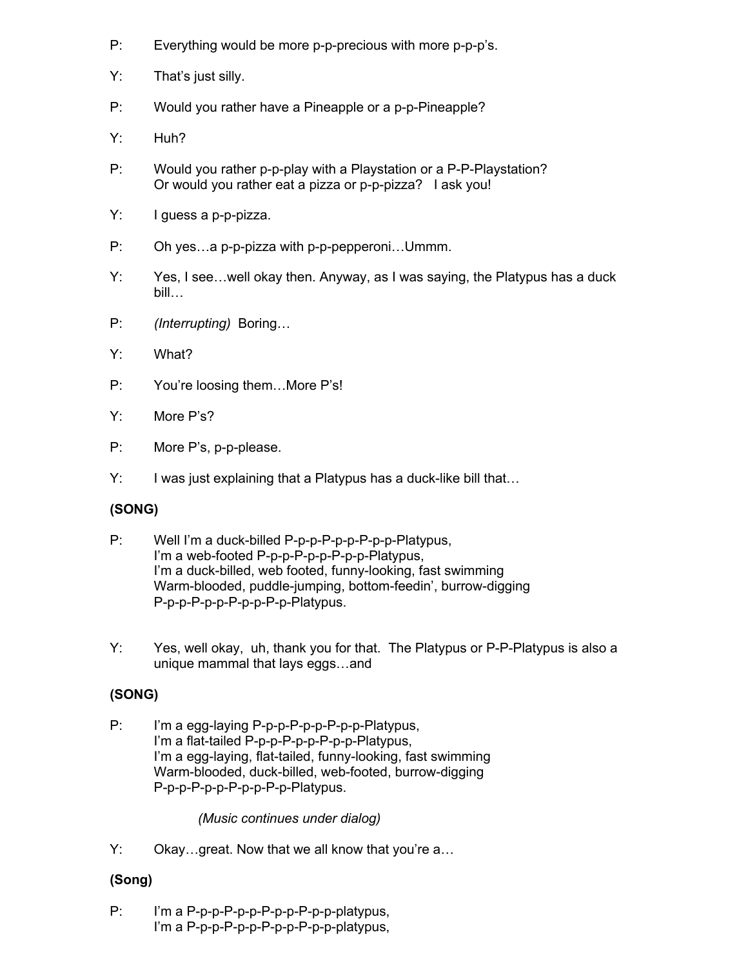- P: Everything would be more p-p-precious with more p-p-p's.
- Y: That's just silly.
- P: Would you rather have a Pineapple or a p-p-Pineapple?
- Y: Huh?
- P: Would you rather p-p-play with a Playstation or a P-P-Playstation? Or would you rather eat a pizza or p-p-pizza? I ask you!
- Y: I guess a p-p-pizza.
- P: Oh yes…a p-p-pizza with p-p-pepperoni…Ummm.
- Y: Yes, I see…well okay then. Anyway, as I was saying, the Platypus has a duck bill…
- P: *(Interrupting)* Boring…
- Y: What?
- P: You're loosing them...More P's!
- Y: More P's?
- P: More P's, p-p-please.
- Y: I was just explaining that a Platypus has a duck-like bill that...

## **(SONG)**

- P: Well I'm a duck-billed P-p-p-P-p-p-P-p-p-Platypus, I'm a web-footed P-p-p-P-p-p-P-p-p-Platypus, I'm a duck-billed, web footed, funny-looking, fast swimming Warm-blooded, puddle-jumping, bottom-feedin', burrow-digging P-p-p-P-p-p-P-p-p-P-p-Platypus.
- Y: Yes, well okay, uh, thank you for that. The Platypus or P-P-Platypus is also a unique mammal that lays eggs…and

# **(SONG)**

P: I'm a egg-laying P-p-p-P-p-p-P-p-p-Platypus, I'm a flat-tailed P-p-p-P-p-p-P-p-p-Platypus, I'm a egg-laying, flat-tailed, funny-looking, fast swimming Warm-blooded, duck-billed, web-footed, burrow-digging P-p-p-P-p-p-P-p-p-P-p-Platypus.

## *(Music continues under dialog)*

Y: Okay…great. Now that we all know that you're a…

# **(Song)**

P: I'm a P-p-p-P-p-p-P-p-p-P-p-p-platypus, I'm a P-p-p-P-p-p-P-p-p-P-p-p-platypus,